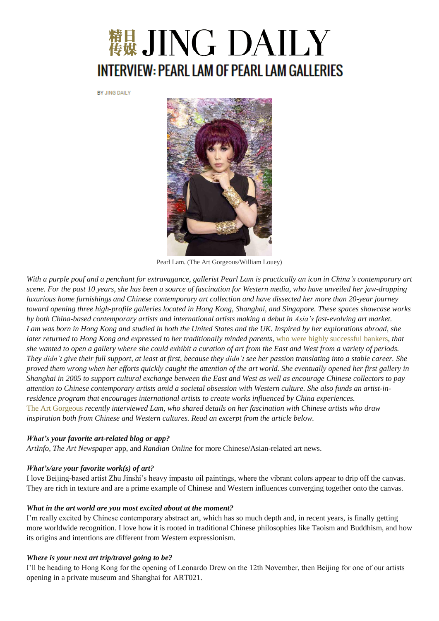# <sup>精算</sup> JING DAILY **INTERVIEW: PEARL LAM OF PEARL LAM GALLERIES**

BY JING DAILY



Pearl Lam. (The Art Gorgeous/William Louey)

With a purple pouf and a penchant for extravagance, gallerist Pearl Lam is practically an icon in China's contemporary art scene. For the past 10 years, she has been a source of fascination for Western media, who have unveiled her jaw-dropping luxurious home furnishings and Chinese contemporary art collection and have dissected her more than 20-year journey toward opening three high-profile galleries located in Hong Kong, Shanghai, and Singapore. These spaces showcase works by both China-based contemporary artists and international artists making a debut in Asia's fast-evolving art market. Lam was born in Hong Kong and studied in both the United States and the UK. Inspired by her explorations abroad, she *later returned to Hong Kong and expressed to her traditionally minded parents,* who were highly [successful](http://www.theguardian.com/artanddesign/2008/jun/15/art.fashion) bankers*, that* she wanted to open a gallery where she could exhibit a curation of art from the East and West from a variety of periods. They didn't give their full support, at least at first, because they didn't see her passion translating into a stable career. She proved them wrong when her efforts quickly caught the attention of the art world. She eventually opened her first gallery in Shanghai in 2005 to support cultural exchange between the East and West as well as encourage Chinese collectors to pay attention to Chinese contemporary artists amid a societal obsession with Western culture. She also funds an artist-in*residence program that encourages international artists to create works influenced by China experiences.* The Art [Gorgeous](http://www.theartgorgeous.com/?p=2478) *recently interviewed Lam, who shared details on her fascination with Chinese artists who draw inspiration both from Chinese and Western cultures. Read an excerpt from the article below.*

#### *What's your favorite art-related blog or app?*

*ArtInfo*, *The Art Newspaper* app, and *Randian Online* for more Chinese/Asian-related art news.

#### *What's/are your favorite work(s) of art?*

I love Beijing-based artist Zhu Jinshi's heavy impasto oil paintings, where the vibrant colors appear to drip off the canvas. They are rich in texture and are a prime example of Chinese and Western influences converging together onto the canvas.

#### *What in the art world are you most excited about at the moment?*

I'm really excited by Chinese contemporary abstract art, which has so much depth and, in recent years, is finally getting more worldwide recognition. I love how it is rooted in traditional Chinese philosophies like Taoism and Buddhism, and how its origins and intentions are different from Western expressionism.

#### *Where is your next art trip/travel going to be?*

I'll be heading to Hong Kong for the opening of Leonardo Drew on the 12th November, then Beijing for one of our artists opening in a private museum and Shanghai for ART021.